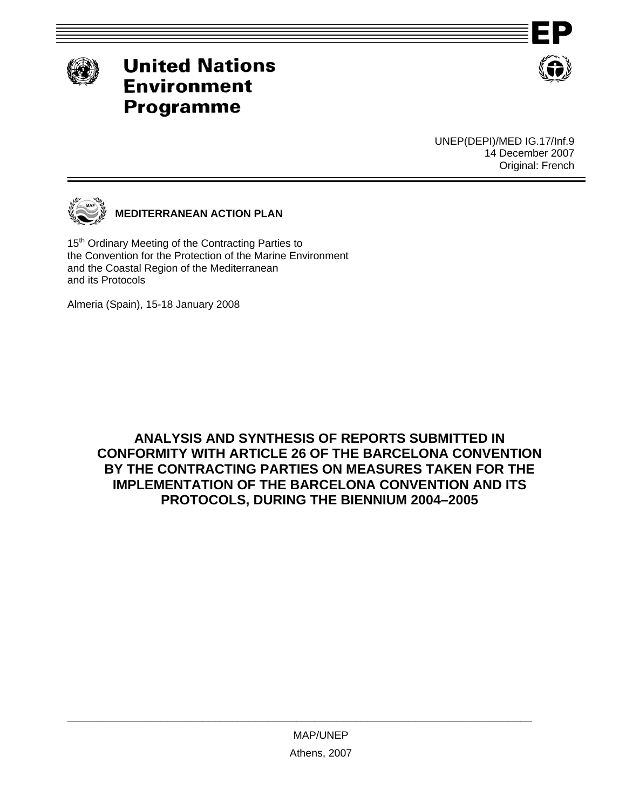



UNEP(DEPI)/MED IG.17/Inf.9 14 December 2007 Original: French



**MEDITERRANEAN ACTION PLAN** 

15<sup>th</sup> Ordinary Meeting of the Contracting Parties to the Convention for the Protection of the Marine Environment and the Coastal Region of the Mediterranean and its Protocols

Almeria (Spain), 15-18 January 2008

**ANALYSIS AND SYNTHESIS OF REPORTS SUBMITTED IN CONFORMITY WITH ARTICLE 26 OF THE BARCELONA CONVENTION BY THE CONTRACTING PARTIES ON MEASURES TAKEN FOR THE IMPLEMENTATION OF THE BARCELONA CONVENTION AND ITS PROTOCOLS, DURING THE BIENNIUM 2004–2005** 

**\_\_\_\_\_\_\_\_\_\_\_\_\_\_\_\_\_\_\_\_\_\_\_\_\_\_\_\_\_\_\_\_\_\_\_\_\_\_\_\_\_\_\_\_\_\_\_\_\_\_\_\_\_\_\_\_\_\_\_\_\_\_\_\_\_\_\_\_\_\_\_\_\_\_\_\_\_\_\_**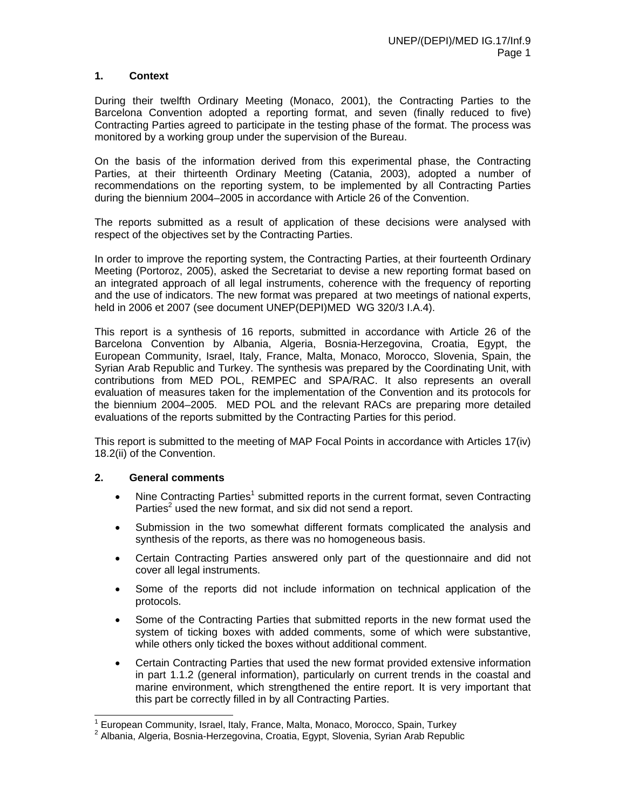# **1. Context**

During their twelfth Ordinary Meeting (Monaco, 2001), the Contracting Parties to the Barcelona Convention adopted a reporting format, and seven (finally reduced to five) Contracting Parties agreed to participate in the testing phase of the format. The process was monitored by a working group under the supervision of the Bureau.

On the basis of the information derived from this experimental phase, the Contracting Parties, at their thirteenth Ordinary Meeting (Catania, 2003), adopted a number of recommendations on the reporting system, to be implemented by all Contracting Parties during the biennium 2004–2005 in accordance with Article 26 of the Convention.

The reports submitted as a result of application of these decisions were analysed with respect of the objectives set by the Contracting Parties.

In order to improve the reporting system, the Contracting Parties, at their fourteenth Ordinary Meeting (Portoroz, 2005), asked the Secretariat to devise a new reporting format based on an integrated approach of all legal instruments, coherence with the frequency of reporting and the use of indicators. The new format was prepared at two meetings of national experts, held in 2006 et 2007 (see document UNEP(DEPI)MED WG 320/3 I.A.4).

This report is a synthesis of 16 reports, submitted in accordance with Article 26 of the Barcelona Convention by Albania, Algeria, Bosnia-Herzegovina, Croatia, Egypt, the European Community, Israel, Italy, France, Malta, Monaco, Morocco, Slovenia, Spain, the Syrian Arab Republic and Turkey. The synthesis was prepared by the Coordinating Unit, with contributions from MED POL, REMPEC and SPA/RAC. It also represents an overall evaluation of measures taken for the implementation of the Convention and its protocols for the biennium 2004–2005. MED POL and the relevant RACs are preparing more detailed evaluations of the reports submitted by the Contracting Parties for this period.

This report is submitted to the meeting of MAP Focal Points in accordance with Articles 17(iv) 18.2(ii) of the Convention.

#### **2. General comments**

-

- Nine Contracting Parties<sup>1</sup> submitted reports in the current format, seven Contracting Parties<sup>2</sup> used the new format, and six did not send a report.
- Submission in the two somewhat different formats complicated the analysis and synthesis of the reports, as there was no homogeneous basis.
- Certain Contracting Parties answered only part of the questionnaire and did not cover all legal instruments.
- Some of the reports did not include information on technical application of the protocols.
- Some of the Contracting Parties that submitted reports in the new format used the system of ticking boxes with added comments, some of which were substantive, while others only ticked the boxes without additional comment.
- Certain Contracting Parties that used the new format provided extensive information in part 1.1.2 (general information), particularly on current trends in the coastal and marine environment, which strengthened the entire report. It is very important that this part be correctly filled in by all Contracting Parties.

<sup>&</sup>lt;sup>1</sup> European Community, Israel, Italy, France, Malta, Monaco, Morocco, Spain, Turkey

<sup>&</sup>lt;sup>2</sup> Albania, Algeria, Bosnia-Herzegovina, Croatia, Egypt, Slovenia, Syrian Arab Republic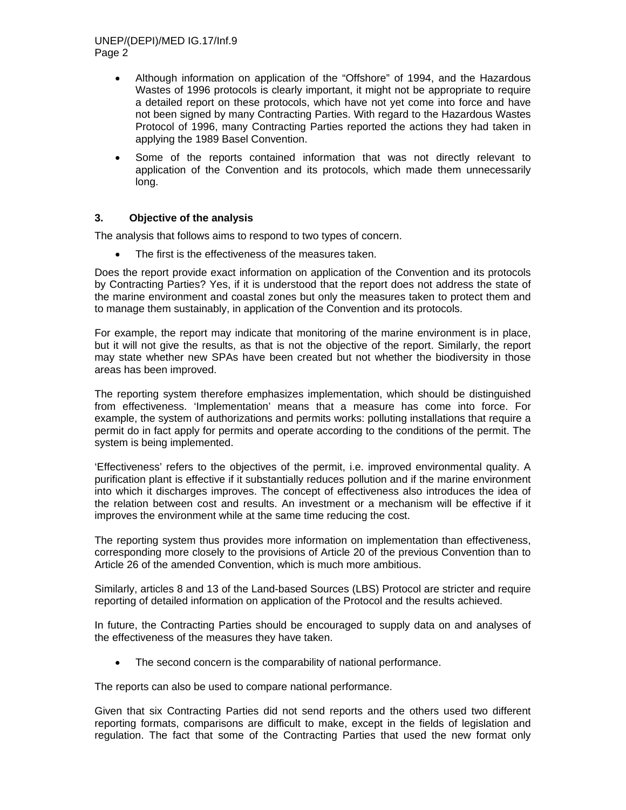# UNEP/(DEPI)/MED IG.17/Inf.9 Page 2

- Although information on application of the "Offshore" of 1994, and the Hazardous Wastes of 1996 protocols is clearly important, it might not be appropriate to require a detailed report on these protocols, which have not yet come into force and have not been signed by many Contracting Parties. With regard to the Hazardous Wastes Protocol of 1996, many Contracting Parties reported the actions they had taken in applying the 1989 Basel Convention.
- Some of the reports contained information that was not directly relevant to application of the Convention and its protocols, which made them unnecessarily long.

## **3. Objective of the analysis**

The analysis that follows aims to respond to two types of concern.

The first is the effectiveness of the measures taken.

Does the report provide exact information on application of the Convention and its protocols by Contracting Parties? Yes, if it is understood that the report does not address the state of the marine environment and coastal zones but only the measures taken to protect them and to manage them sustainably, in application of the Convention and its protocols.

For example, the report may indicate that monitoring of the marine environment is in place, but it will not give the results, as that is not the objective of the report. Similarly, the report may state whether new SPAs have been created but not whether the biodiversity in those areas has been improved.

The reporting system therefore emphasizes implementation, which should be distinguished from effectiveness. 'Implementation' means that a measure has come into force. For example, the system of authorizations and permits works: polluting installations that require a permit do in fact apply for permits and operate according to the conditions of the permit. The system is being implemented.

'Effectiveness' refers to the objectives of the permit, i.e. improved environmental quality. A purification plant is effective if it substantially reduces pollution and if the marine environment into which it discharges improves. The concept of effectiveness also introduces the idea of the relation between cost and results. An investment or a mechanism will be effective if it improves the environment while at the same time reducing the cost.

The reporting system thus provides more information on implementation than effectiveness, corresponding more closely to the provisions of Article 20 of the previous Convention than to Article 26 of the amended Convention, which is much more ambitious.

Similarly, articles 8 and 13 of the Land-based Sources (LBS) Protocol are stricter and require reporting of detailed information on application of the Protocol and the results achieved.

In future, the Contracting Parties should be encouraged to supply data on and analyses of the effectiveness of the measures they have taken.

The second concern is the comparability of national performance.

The reports can also be used to compare national performance.

Given that six Contracting Parties did not send reports and the others used two different reporting formats, comparisons are difficult to make, except in the fields of legislation and regulation. The fact that some of the Contracting Parties that used the new format only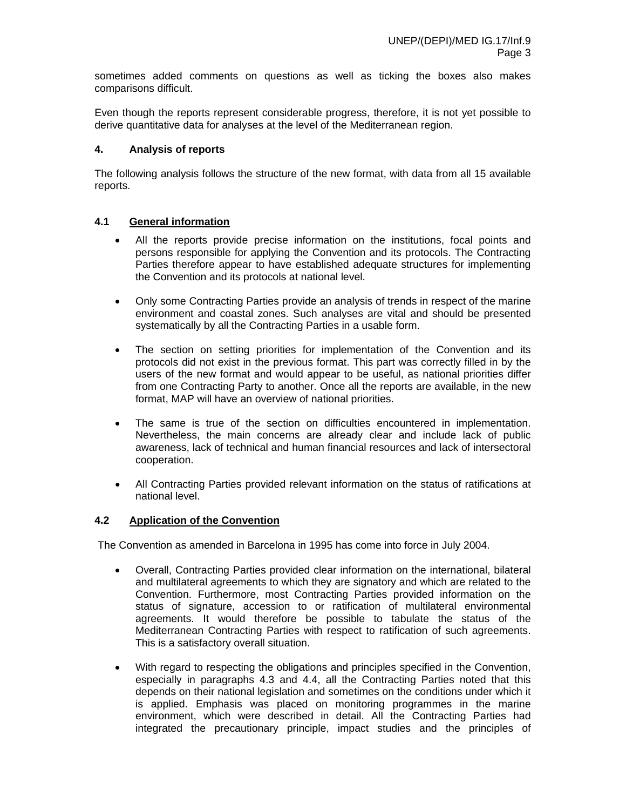sometimes added comments on questions as well as ticking the boxes also makes comparisons difficult.

Even though the reports represent considerable progress, therefore, it is not yet possible to derive quantitative data for analyses at the level of the Mediterranean region.

## **4. Analysis of reports**

The following analysis follows the structure of the new format, with data from all 15 available reports.

## **4.1 General information**

- All the reports provide precise information on the institutions, focal points and persons responsible for applying the Convention and its protocols. The Contracting Parties therefore appear to have established adequate structures for implementing the Convention and its protocols at national level.
- Only some Contracting Parties provide an analysis of trends in respect of the marine environment and coastal zones. Such analyses are vital and should be presented systematically by all the Contracting Parties in a usable form.
- The section on setting priorities for implementation of the Convention and its protocols did not exist in the previous format. This part was correctly filled in by the users of the new format and would appear to be useful, as national priorities differ from one Contracting Party to another. Once all the reports are available, in the new format, MAP will have an overview of national priorities.
- The same is true of the section on difficulties encountered in implementation. Nevertheless, the main concerns are already clear and include lack of public awareness, lack of technical and human financial resources and lack of intersectoral cooperation.
- All Contracting Parties provided relevant information on the status of ratifications at national level.

# **4.2 Application of the Convention**

The Convention as amended in Barcelona in 1995 has come into force in July 2004.

- Overall, Contracting Parties provided clear information on the international, bilateral and multilateral agreements to which they are signatory and which are related to the Convention. Furthermore, most Contracting Parties provided information on the status of signature, accession to or ratification of multilateral environmental agreements. It would therefore be possible to tabulate the status of the Mediterranean Contracting Parties with respect to ratification of such agreements. This is a satisfactory overall situation.
- With regard to respecting the obligations and principles specified in the Convention, especially in paragraphs 4.3 and 4.4, all the Contracting Parties noted that this depends on their national legislation and sometimes on the conditions under which it is applied. Emphasis was placed on monitoring programmes in the marine environment, which were described in detail. All the Contracting Parties had integrated the precautionary principle, impact studies and the principles of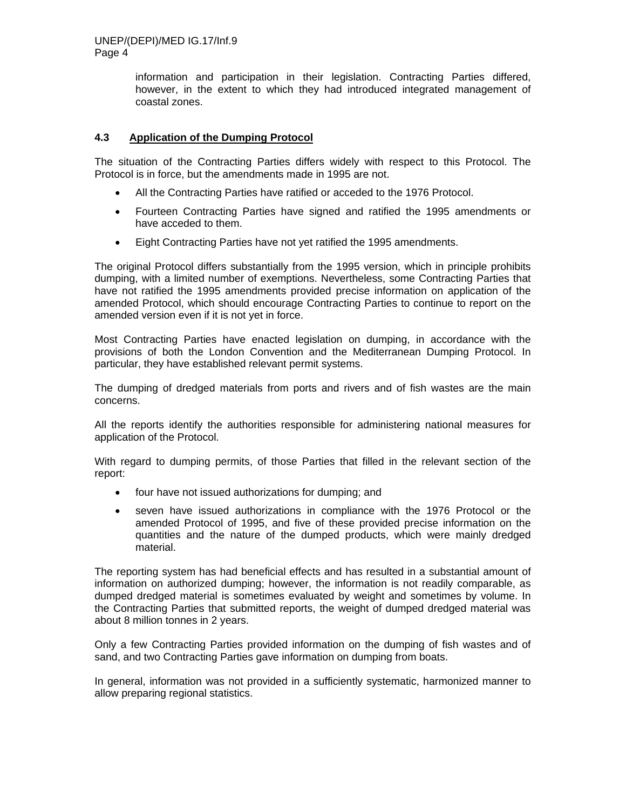information and participation in their legislation. Contracting Parties differed, however, in the extent to which they had introduced integrated management of coastal zones.

# **4.3 Application of the Dumping Protocol**

The situation of the Contracting Parties differs widely with respect to this Protocol. The Protocol is in force, but the amendments made in 1995 are not.

- All the Contracting Parties have ratified or acceded to the 1976 Protocol.
- Fourteen Contracting Parties have signed and ratified the 1995 amendments or have acceded to them.
- Eight Contracting Parties have not yet ratified the 1995 amendments.

The original Protocol differs substantially from the 1995 version, which in principle prohibits dumping, with a limited number of exemptions. Nevertheless, some Contracting Parties that have not ratified the 1995 amendments provided precise information on application of the amended Protocol, which should encourage Contracting Parties to continue to report on the amended version even if it is not yet in force.

Most Contracting Parties have enacted legislation on dumping, in accordance with the provisions of both the London Convention and the Mediterranean Dumping Protocol. In particular, they have established relevant permit systems.

The dumping of dredged materials from ports and rivers and of fish wastes are the main concerns.

All the reports identify the authorities responsible for administering national measures for application of the Protocol.

With regard to dumping permits, of those Parties that filled in the relevant section of the report:

- four have not issued authorizations for dumping; and
- seven have issued authorizations in compliance with the 1976 Protocol or the amended Protocol of 1995, and five of these provided precise information on the quantities and the nature of the dumped products, which were mainly dredged material.

The reporting system has had beneficial effects and has resulted in a substantial amount of information on authorized dumping; however, the information is not readily comparable, as dumped dredged material is sometimes evaluated by weight and sometimes by volume. In the Contracting Parties that submitted reports, the weight of dumped dredged material was about 8 million tonnes in 2 years.

Only a few Contracting Parties provided information on the dumping of fish wastes and of sand, and two Contracting Parties gave information on dumping from boats.

In general, information was not provided in a sufficiently systematic, harmonized manner to allow preparing regional statistics.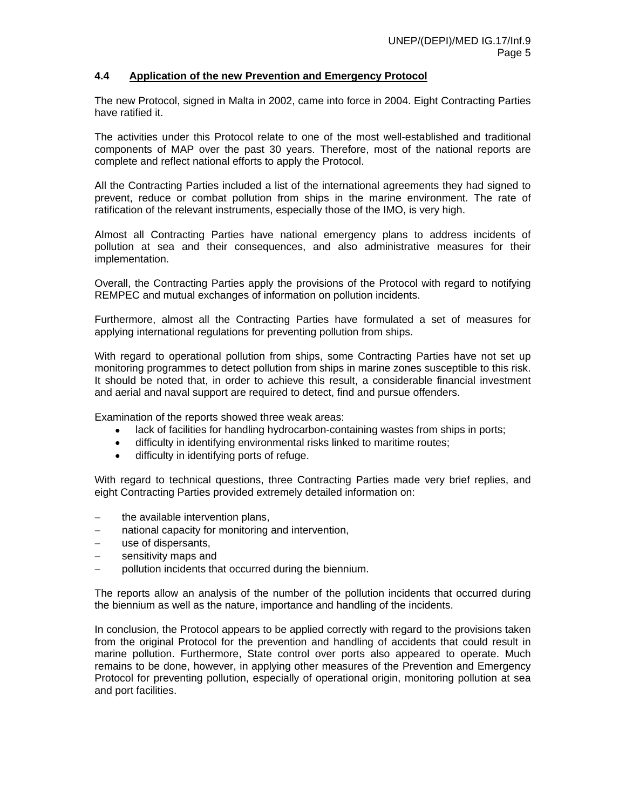## **4.4 Application of the new Prevention and Emergency Protocol**

The new Protocol, signed in Malta in 2002, came into force in 2004. Eight Contracting Parties have ratified it.

The activities under this Protocol relate to one of the most well-established and traditional components of MAP over the past 30 years. Therefore, most of the national reports are complete and reflect national efforts to apply the Protocol.

All the Contracting Parties included a list of the international agreements they had signed to prevent, reduce or combat pollution from ships in the marine environment. The rate of ratification of the relevant instruments, especially those of the IMO, is very high.

Almost all Contracting Parties have national emergency plans to address incidents of pollution at sea and their consequences, and also administrative measures for their implementation.

Overall, the Contracting Parties apply the provisions of the Protocol with regard to notifying REMPEC and mutual exchanges of information on pollution incidents.

Furthermore, almost all the Contracting Parties have formulated a set of measures for applying international regulations for preventing pollution from ships.

With regard to operational pollution from ships, some Contracting Parties have not set up monitoring programmes to detect pollution from ships in marine zones susceptible to this risk. It should be noted that, in order to achieve this result, a considerable financial investment and aerial and naval support are required to detect, find and pursue offenders.

Examination of the reports showed three weak areas:

- lack of facilities for handling hydrocarbon-containing wastes from ships in ports;
- difficulty in identifying environmental risks linked to maritime routes;
- difficulty in identifying ports of refuge.

With regard to technical questions, three Contracting Parties made very brief replies, and eight Contracting Parties provided extremely detailed information on:

- the available intervention plans,
- − national capacity for monitoring and intervention,
- − use of dispersants,
- sensitivity maps and
- pollution incidents that occurred during the biennium.

The reports allow an analysis of the number of the pollution incidents that occurred during the biennium as well as the nature, importance and handling of the incidents.

In conclusion, the Protocol appears to be applied correctly with regard to the provisions taken from the original Protocol for the prevention and handling of accidents that could result in marine pollution. Furthermore, State control over ports also appeared to operate. Much remains to be done, however, in applying other measures of the Prevention and Emergency Protocol for preventing pollution, especially of operational origin, monitoring pollution at sea and port facilities.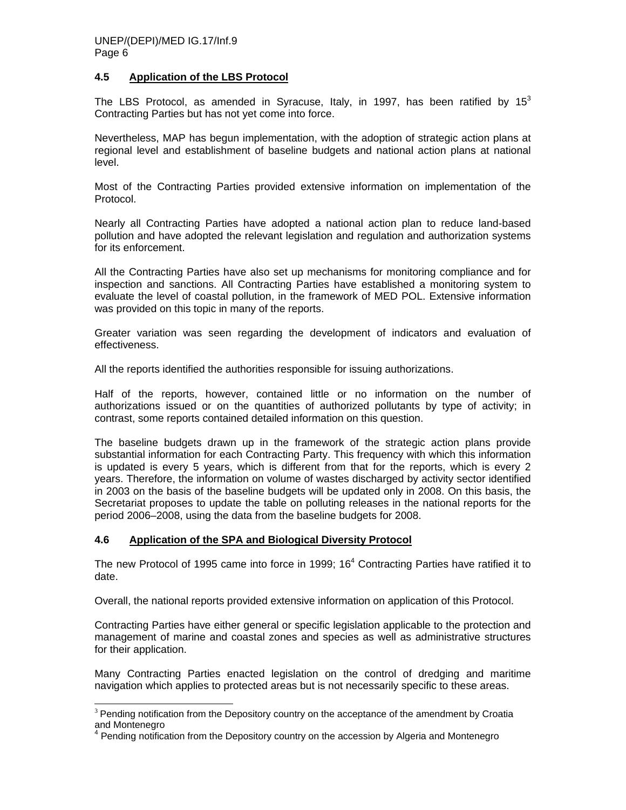## **4.5 Application of the LBS Protocol**

The LBS Protocol, as amended in Syracuse, Italy, in 1997, has been ratified by  $15<sup>3</sup>$ Contracting Parties but has not yet come into force.

Nevertheless, MAP has begun implementation, with the adoption of strategic action plans at regional level and establishment of baseline budgets and national action plans at national level.

Most of the Contracting Parties provided extensive information on implementation of the Protocol.

Nearly all Contracting Parties have adopted a national action plan to reduce land-based pollution and have adopted the relevant legislation and regulation and authorization systems for its enforcement.

All the Contracting Parties have also set up mechanisms for monitoring compliance and for inspection and sanctions. All Contracting Parties have established a monitoring system to evaluate the level of coastal pollution, in the framework of MED POL. Extensive information was provided on this topic in many of the reports.

Greater variation was seen regarding the development of indicators and evaluation of effectiveness.

All the reports identified the authorities responsible for issuing authorizations.

Half of the reports, however, contained little or no information on the number of authorizations issued or on the quantities of authorized pollutants by type of activity; in contrast, some reports contained detailed information on this question.

The baseline budgets drawn up in the framework of the strategic action plans provide substantial information for each Contracting Party. This frequency with which this information is updated is every 5 years, which is different from that for the reports, which is every 2 years. Therefore, the information on volume of wastes discharged by activity sector identified in 2003 on the basis of the baseline budgets will be updated only in 2008. On this basis, the Secretariat proposes to update the table on polluting releases in the national reports for the period 2006–2008, using the data from the baseline budgets for 2008.

# **4.6 Application of the SPA and Biological Diversity Protocol**

-

The new Protocol of 1995 came into force in 1999;  $16<sup>4</sup>$  Contracting Parties have ratified it to date.

Overall, the national reports provided extensive information on application of this Protocol.

Contracting Parties have either general or specific legislation applicable to the protection and management of marine and coastal zones and species as well as administrative structures for their application.

Many Contracting Parties enacted legislation on the control of dredging and maritime navigation which applies to protected areas but is not necessarily specific to these areas.

<sup>&</sup>lt;sup>3</sup> Pending notification from the Depository country on the acceptance of the amendment by Croatia and Montenegro

<sup>&</sup>lt;sup>4</sup> Pending notification from the Depository country on the accession by Algeria and Montenegro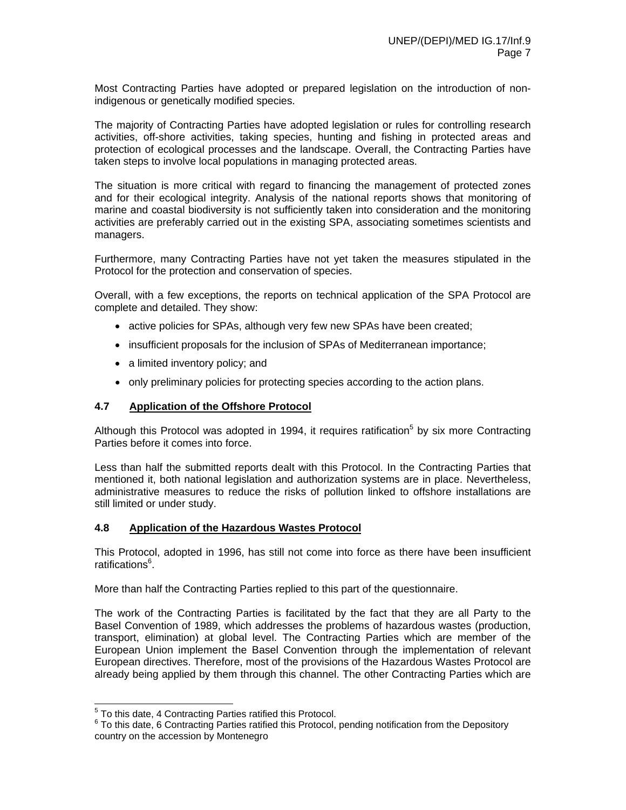Most Contracting Parties have adopted or prepared legislation on the introduction of nonindigenous or genetically modified species.

The majority of Contracting Parties have adopted legislation or rules for controlling research activities, off-shore activities, taking species, hunting and fishing in protected areas and protection of ecological processes and the landscape. Overall, the Contracting Parties have taken steps to involve local populations in managing protected areas.

The situation is more critical with regard to financing the management of protected zones and for their ecological integrity. Analysis of the national reports shows that monitoring of marine and coastal biodiversity is not sufficiently taken into consideration and the monitoring activities are preferably carried out in the existing SPA, associating sometimes scientists and managers.

Furthermore, many Contracting Parties have not yet taken the measures stipulated in the Protocol for the protection and conservation of species.

Overall, with a few exceptions, the reports on technical application of the SPA Protocol are complete and detailed. They show:

- active policies for SPAs, although very few new SPAs have been created;
- insufficient proposals for the inclusion of SPAs of Mediterranean importance;
- a limited inventory policy; and
- only preliminary policies for protecting species according to the action plans.

#### **4.7 Application of the Offshore Protocol**

Although this Protocol was adopted in 1994, it requires ratification<sup>5</sup> by six more Contracting Parties before it comes into force.

Less than half the submitted reports dealt with this Protocol. In the Contracting Parties that mentioned it, both national legislation and authorization systems are in place. Nevertheless, administrative measures to reduce the risks of pollution linked to offshore installations are still limited or under study.

#### **4.8 Application of the Hazardous Wastes Protocol**

This Protocol, adopted in 1996, has still not come into force as there have been insufficient ratifications<sup>6</sup>.

More than half the Contracting Parties replied to this part of the questionnaire.

The work of the Contracting Parties is facilitated by the fact that they are all Party to the Basel Convention of 1989, which addresses the problems of hazardous wastes (production, transport, elimination) at global level. The Contracting Parties which are member of the European Union implement the Basel Convention through the implementation of relevant European directives. Therefore, most of the provisions of the Hazardous Wastes Protocol are already being applied by them through this channel. The other Contracting Parties which are

**The Contract Contracting Parties ratified this Protocol.**<br><sup>5</sup> To this date, 4 Contracting Parties ratified this Protocol.

 $6$  To this date, 6 Contracting Parties ratified this Protocol, pending notification from the Depository country on the accession by Montenegro